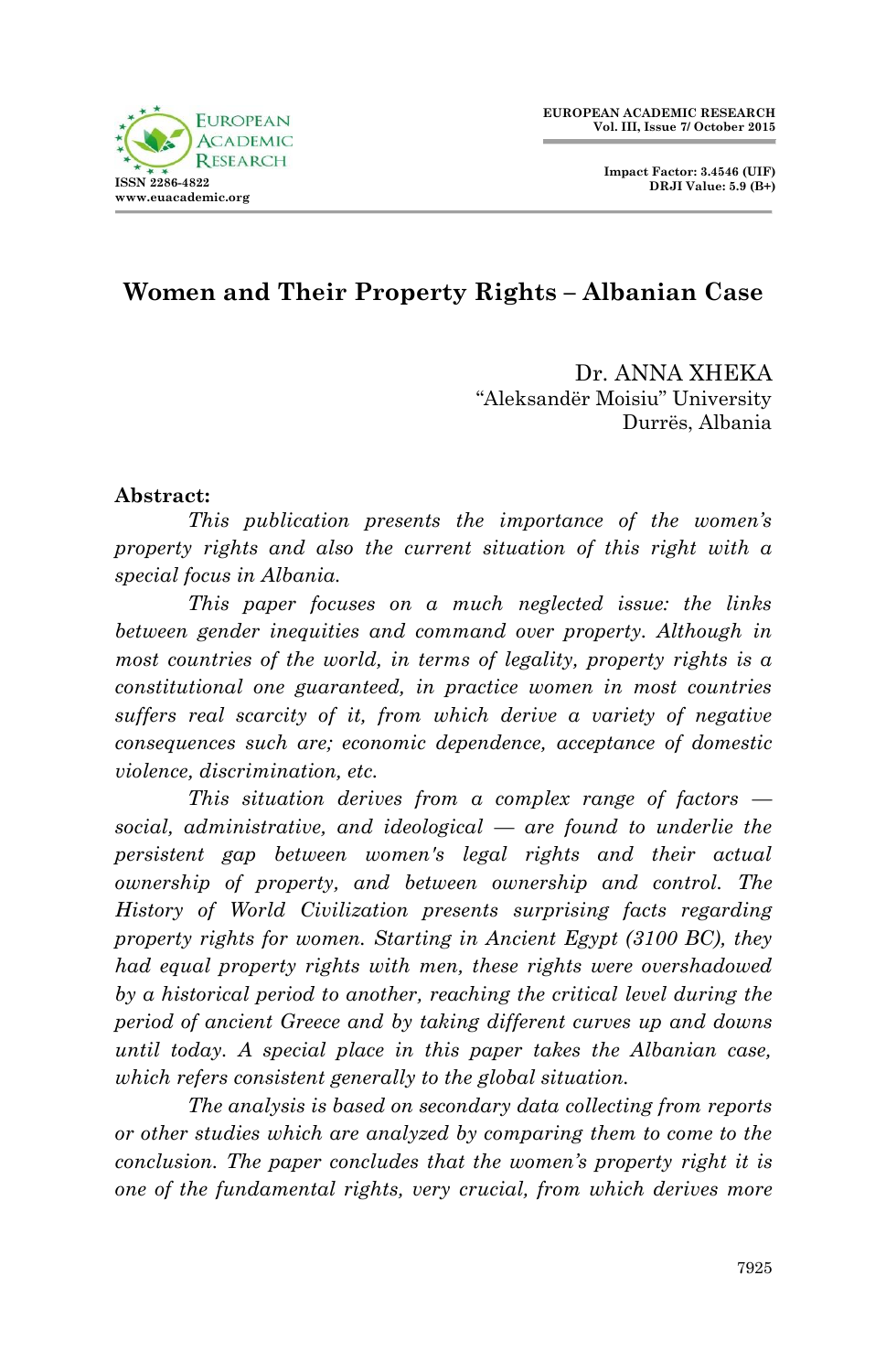



# **Women and Their Property Rights – Albanian Case**

Dr. ANNA XHEKA "Aleksandër Moisiu" University Durrës, Albania

#### **Abstract:**

*This publication presents the importance of the women's property rights and also the current situation of this right with a special focus in Albania.*

*This paper focuses on a much neglected issue: the links between gender inequities and command over property. Although in most countries of the world, in terms of legality, property rights is a constitutional one guaranteed, in practice women in most countries suffers real scarcity of it, from which derive a variety of negative consequences such are; economic dependence, acceptance of domestic violence, discrimination, etc.*

*This situation derives from a complex range of factors social, administrative, and ideological — are found to underlie the persistent gap between women's legal rights and their actual ownership of property, and between ownership and control. The History of World Civilization presents surprising facts regarding property rights for women. Starting in Ancient Egypt (3100 BC), they had equal property rights with men, these rights were overshadowed by a historical period to another, reaching the critical level during the period of ancient Greece and by taking different curves up and downs until today. A special place in this paper takes the Albanian case, which refers consistent generally to the global situation.* 

*The analysis is based on secondary data collecting from reports or other studies which are analyzed by comparing them to come to the conclusion. The paper concludes that the women's property right it is one of the fundamental rights, very crucial, from which derives more*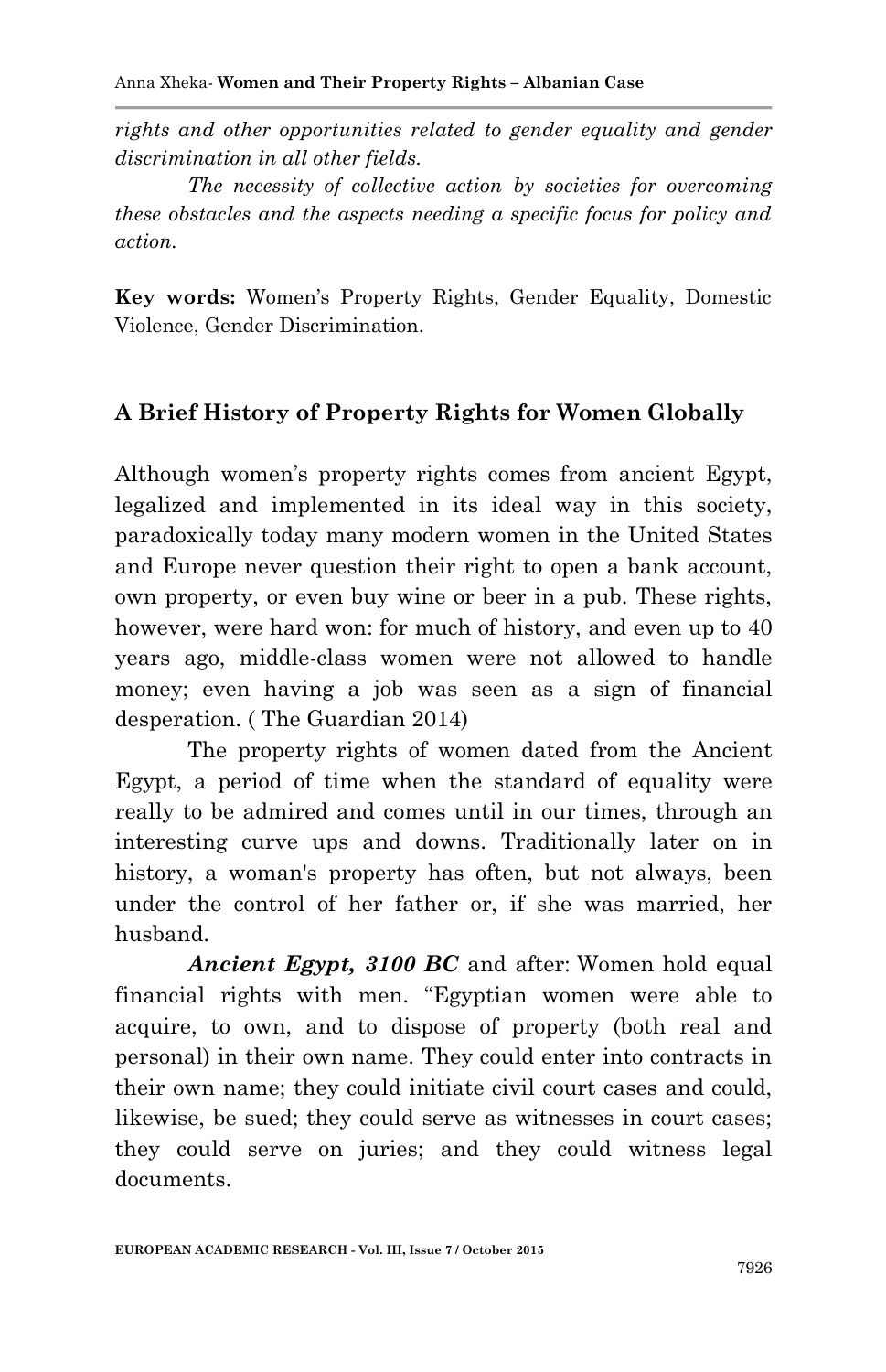*rights and other opportunities related to gender equality and gender discrimination in all other fields.* 

*The necessity of collective action by societies for overcoming these obstacles and the aspects needing a specific focus for policy and action.* 

**Key words:** Women's Property Rights, Gender Equality, Domestic Violence, Gender Discrimination.

#### **A Brief History of Property Rights for Women Globally**

Although women's property rights comes from ancient Egypt, legalized and implemented in its ideal way in this society, paradoxically today many modern women in the United States and Europe never question their right to open a bank account, own property, or even buy wine or beer in a pub. These rights, however, were hard won: for much of history, and even up to 40 years ago, middle-class women were not allowed to handle money; even having a job was seen as a sign of financial desperation. ( The Guardian 2014)

The property rights of women dated from the Ancient Egypt, a period of time when the standard of equality were really to be admired and comes until in our times, through an interesting curve ups and downs. Traditionally later on in history, a woman's property has often, but not always, been under the control of her father or, if she was married, her husband.

*Ancient Egypt, 3100 BC* and after: Women hold equal financial rights with men. "Egyptian women were able to acquire, to own, and to dispose of property (both real and personal) in their own name. They could enter into contracts in their own name; they could initiate civil court cases and could, likewise, be sued; they could serve as witnesses in court cases; they could serve on juries; and they could witness legal documents.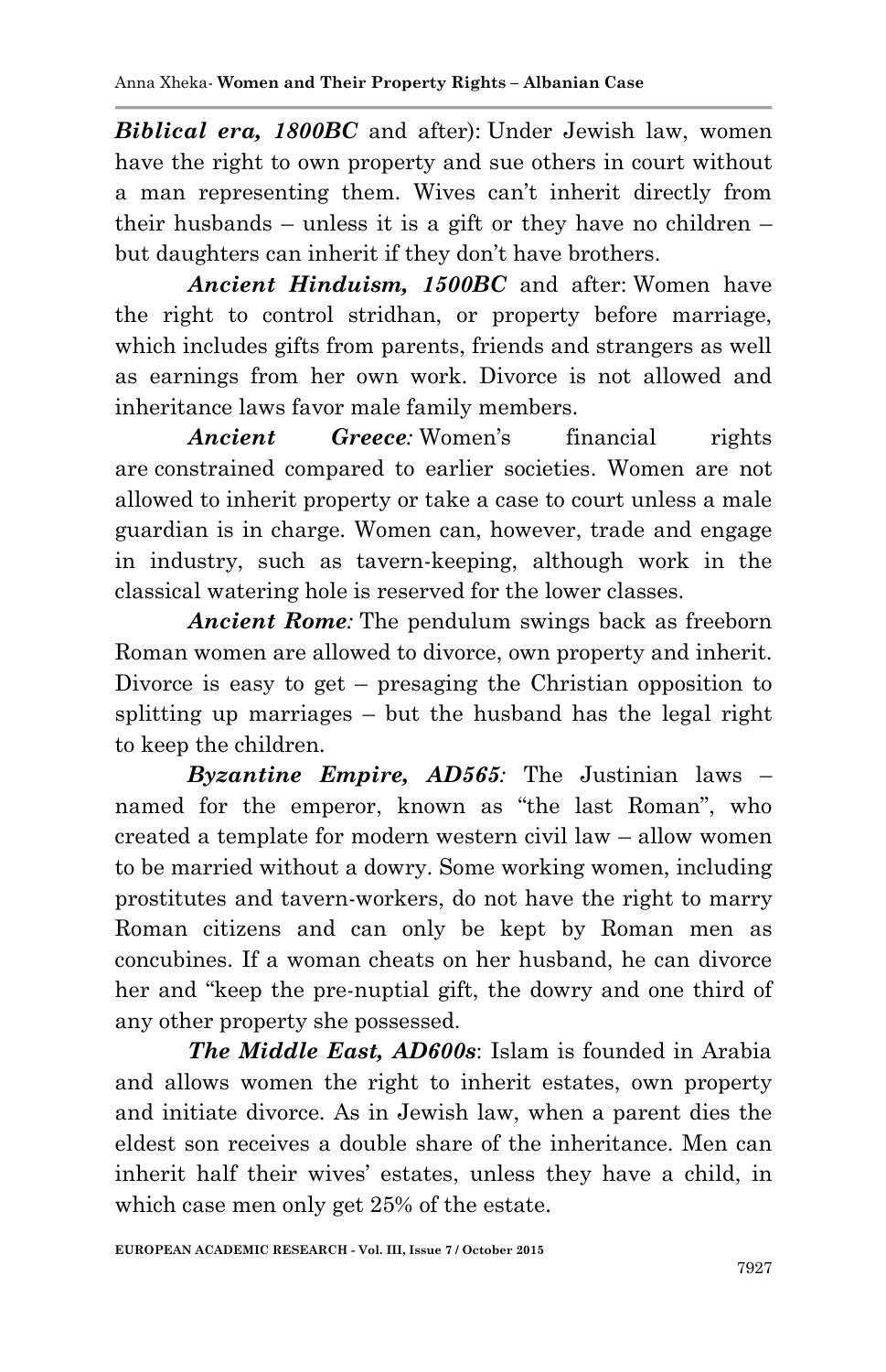*Biblical era, 1800BC* and after): Under Jewish law, women have the right to own property and sue others in court without a man representing them. Wives can't inherit directly from their husbands – unless it is a gift or they have no children – but daughters can inherit if they don't have brothers.

*Ancient Hinduism, 1500BC* and after: Women have the right to control stridhan, or property before marriage, which includes gifts from parents, friends and strangers as well as earnings from her own work. Divorce is not allowed and inheritance laws favor male family members.

*Ancient Greece:* Women's financial rights are constrained compared to earlier societies. Women are not allowed to inherit property or take a case to court unless a male guardian is in charge. Women can, however, trade and engage in industry, such as tavern-keeping, although work in the classical watering hole is reserved for the lower classes.

*Ancient Rome:* The pendulum swings back as freeborn Roman women are allowed to divorce, own property and inherit. Divorce is easy to get – presaging the Christian opposition to splitting up marriages – but the husband has the legal right to keep the children.

*Byzantine Empire, AD565:* The Justinian laws – named for the emperor, known as "the last Roman", who created a template for modern western civil law – allow women to be married without a dowry. Some working women, including prostitutes and tavern-workers, do not have the right to marry Roman citizens and can only be kept by Roman men as concubines. If a woman cheats on her husband, he can divorce her and "keep the pre-nuptial gift, the dowry and one third of any other property she possessed.

*The Middle East, AD600s*: Islam is founded in Arabia and allows women the right to inherit estates, own property and initiate divorce. As in Jewish law, when a parent dies the eldest son receives a double share of the inheritance. Men can inherit half their wives' estates, unless they have a child, in which case men only get 25% of the estate.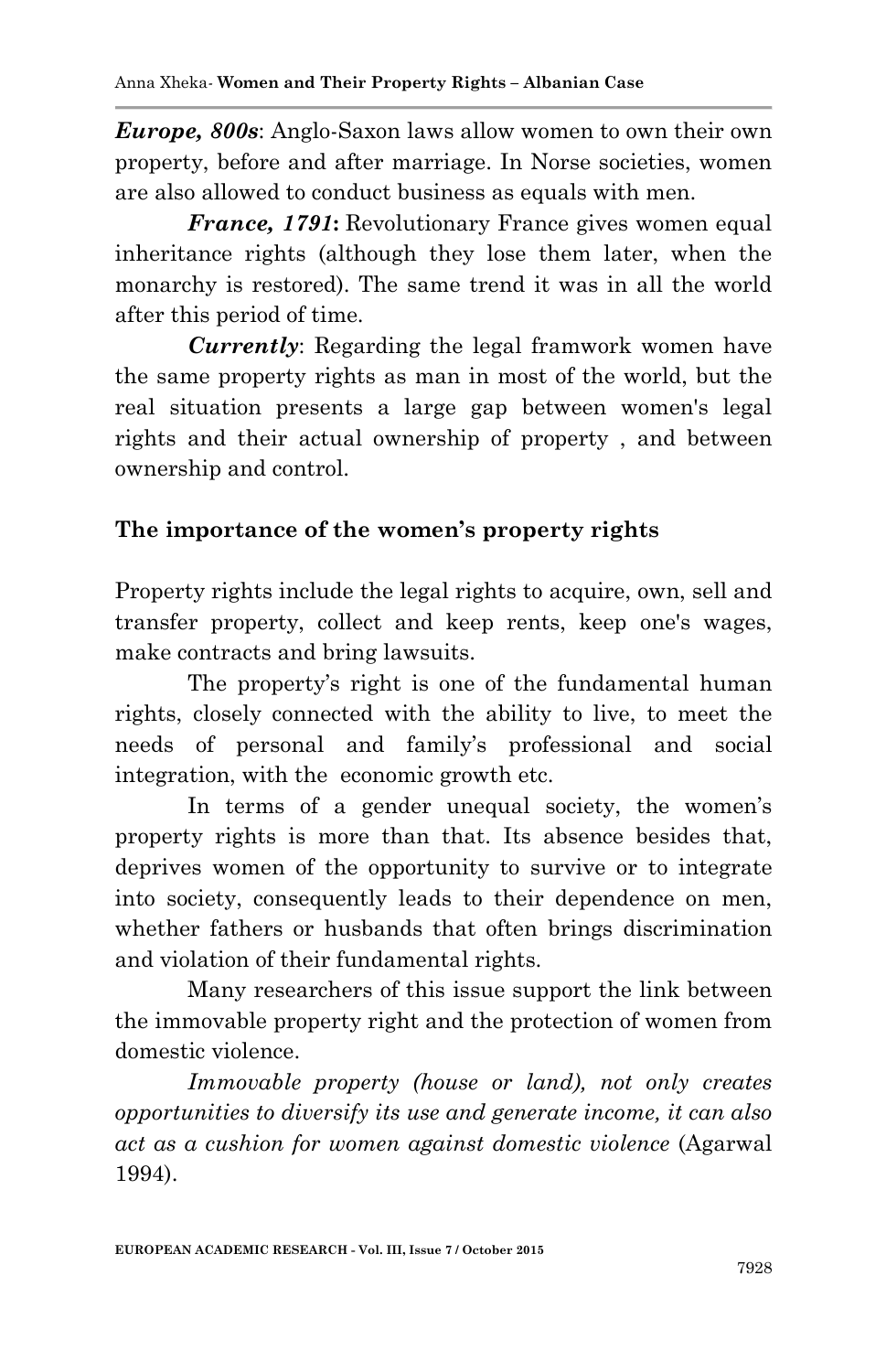*Europe, 800s*: Anglo-Saxon laws allow women to own their own property, before and after marriage. In Norse societies, women are also allowed to conduct business as equals with men.

*France, 1791***:** Revolutionary France gives women equal inheritance rights (although they lose them later, when the monarchy is restored). The same trend it was in all the world after this period of time.

*Currently*: Regarding the legal framwork women have the same property rights as man in most of the world, but the real situation presents a large gap between women's legal rights and their actual ownership of property , and between ownership and control.

### **The importance of the women's property rights**

Property rights include the legal rights to acquire, own, sell and transfer property, collect and keep rents, keep one's wages, make contracts and bring lawsuits.

The property's right is one of the fundamental human rights, closely connected with the ability to live, to meet the needs of personal and family's professional and social integration, with the economic growth etc.

In terms of a gender unequal society, the women's property rights is more than that. Its absence besides that, deprives women of the opportunity to survive or to integrate into society, consequently leads to their dependence on men, whether fathers or husbands that often brings discrimination and violation of their fundamental rights.

Many researchers of this issue support the link between the immovable property right and the protection of women from domestic violence.

*Immovable property (house or land), not only creates opportunities to diversify its use and generate income, it can also act as a cushion for women against domestic violence* (Agarwal 1994).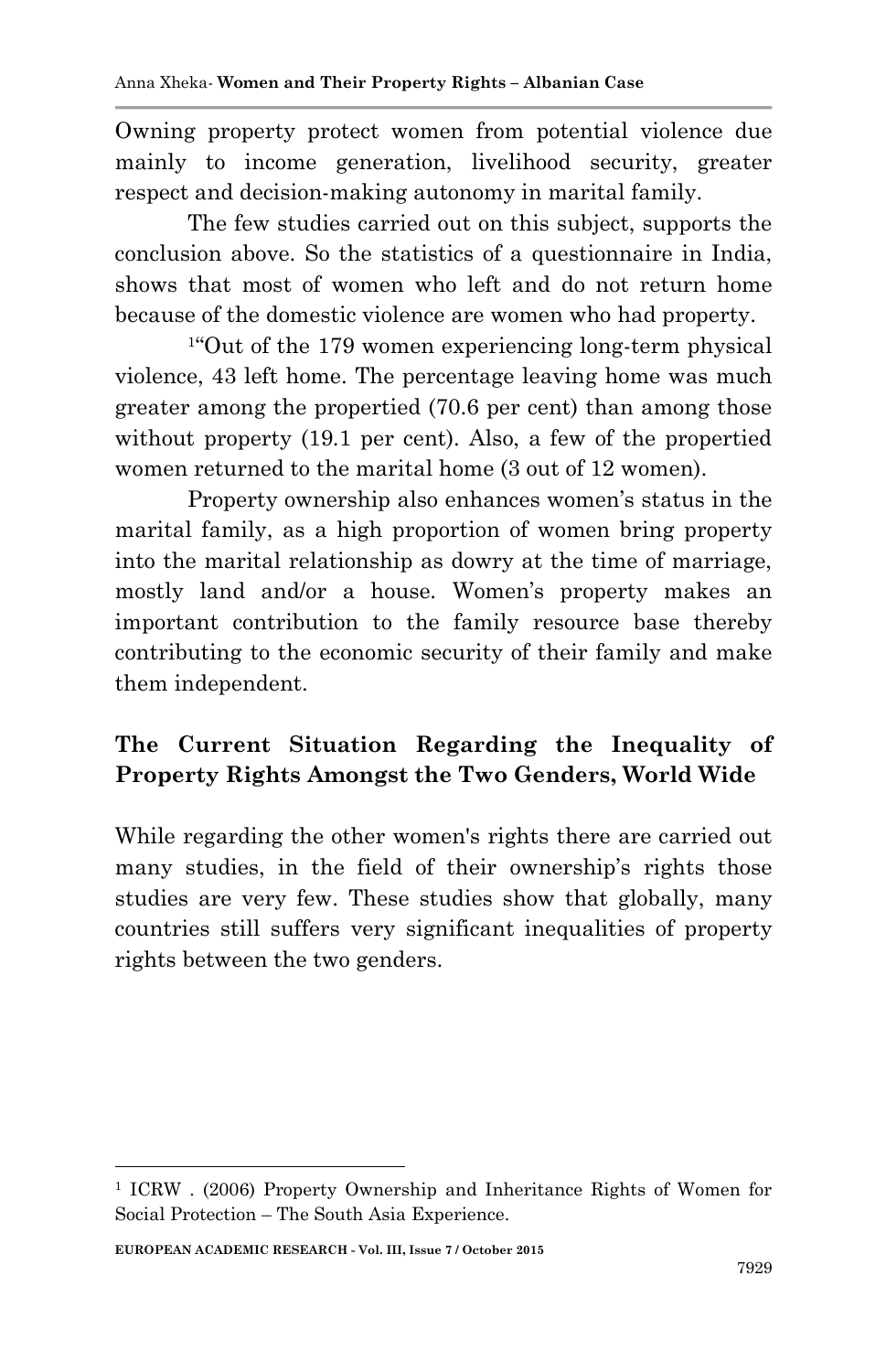Owning property protect women from potential violence due mainly to income generation, livelihood security, greater respect and decision-making autonomy in marital family.

The few studies carried out on this subject, supports the conclusion above. So the statistics of a questionnaire in India, shows that most of women who left and do not return home because of the domestic violence are women who had property.

<sup>1"</sup>Out of the 179 women experiencing long-term physical violence, 43 left home. The percentage leaving home was much greater among the propertied (70.6 per cent) than among those without property (19.1 per cent). Also, a few of the propertied women returned to the marital home (3 out of 12 women).

Property ownership also enhances women's status in the marital family, as a high proportion of women bring property into the marital relationship as dowry at the time of marriage, mostly land and/or a house. Women's property makes an important contribution to the family resource base thereby contributing to the economic security of their family and make them independent.

# **The Current Situation Regarding the Inequality of Property Rights Amongst the Two Genders, World Wide**

While regarding the other women's rights there are carried out many studies, in the field of their ownership's rights those studies are very few. These studies show that globally, many countries still suffers very significant inequalities of property rights between the two genders.

-

<sup>1</sup> ICRW . (2006) Property Ownership and Inheritance Rights of Women for Social Protection – The South Asia Experience.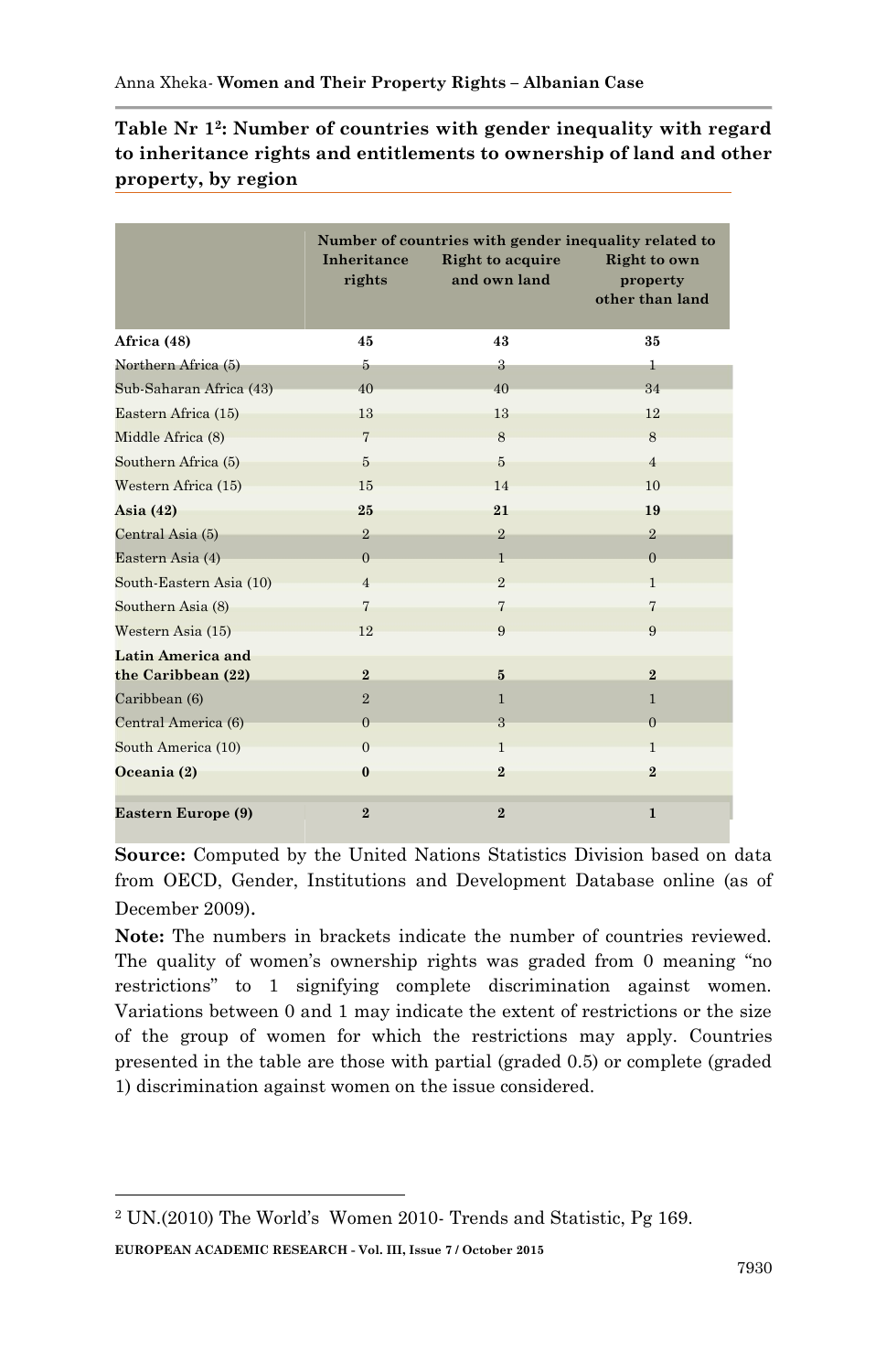**Table Nr 1<sup>2</sup>: Number of countries with gender inequality with regard to inheritance rights and entitlements to ownership of land and other property, by region**

|                                         | <b>Inheritance</b><br>rights | Number of countries with gender inequality related to<br><b>Right to acquire</b><br>and own land | Right to own<br>property<br>other than land |
|-----------------------------------------|------------------------------|--------------------------------------------------------------------------------------------------|---------------------------------------------|
| Africa (48)                             | 45                           | 43                                                                                               | 35                                          |
| Northern Africa (5)                     | 5                            | $\overline{3}$                                                                                   | $\mathbf{1}$                                |
| Sub-Saharan Africa (43)                 | 40                           | 40                                                                                               | 34                                          |
| Eastern Africa (15)                     | 13                           | 13                                                                                               | 12                                          |
| Middle Africa (8)                       | $\overline{7}$               | 8                                                                                                | 8                                           |
| Southern Africa (5)                     | 5                            | 5                                                                                                | $\overline{4}$                              |
| Western Africa (15)                     | 15                           | 14                                                                                               | 10                                          |
| Asia $(42)$                             | 25                           | 21                                                                                               | 19                                          |
| Central Asia (5)                        | $\overline{2}$               | $\overline{2}$                                                                                   | $\overline{2}$                              |
| Eastern Asia (4)                        | $\Omega$                     | $\mathbf{1}$                                                                                     | $\Omega$                                    |
| South-Eastern Asia (10)                 | $\overline{4}$               | $\overline{2}$                                                                                   | $\mathbf{1}$                                |
| Southern Asia (8)                       | $\overline{7}$               | $\overline{7}$                                                                                   | 7                                           |
| Western Asia (15)                       | 12                           | 9                                                                                                | 9                                           |
| Latin America and<br>the Caribbean (22) | $\overline{2}$               | 5                                                                                                | $\overline{2}$                              |
| Caribbean (6)                           | $\overline{2}$               | $\mathbf{1}$                                                                                     | $\mathbf{1}$                                |
| Central America (6)                     | $\theta$                     | 3                                                                                                | $\Omega$                                    |
| South America (10)                      | $\Omega$                     | $\mathbf{1}$                                                                                     | $\mathbf{1}$                                |
| Oceania (2)                             | $\bf{0}$                     | $\overline{2}$                                                                                   | $\overline{2}$                              |
| Eastern Europe (9)                      | $\overline{2}$               | $\overline{2}$                                                                                   | $\mathbf{1}$                                |

**Source:** Computed by the United Nations Statistics Division based on data from OECD, Gender, Institutions and Development Database online (as of December 2009).

**Note:** The numbers in brackets indicate the number of countries reviewed. The quality of women's ownership rights was graded from 0 meaning "no restrictions" to 1 signifying complete discrimination against women. Variations between 0 and 1 may indicate the extent of restrictions or the size of the group of women for which the restrictions may apply. Countries presented in the table are those with partial (graded 0.5) or complete (graded 1) discrimination against women on the issue considered.

**EUROPEAN ACADEMIC RESEARCH - Vol. III, Issue 7 / October 2015**

**.** 

<sup>2</sup> UN.(2010) The World's Women 2010- Trends and Statistic, Pg 169.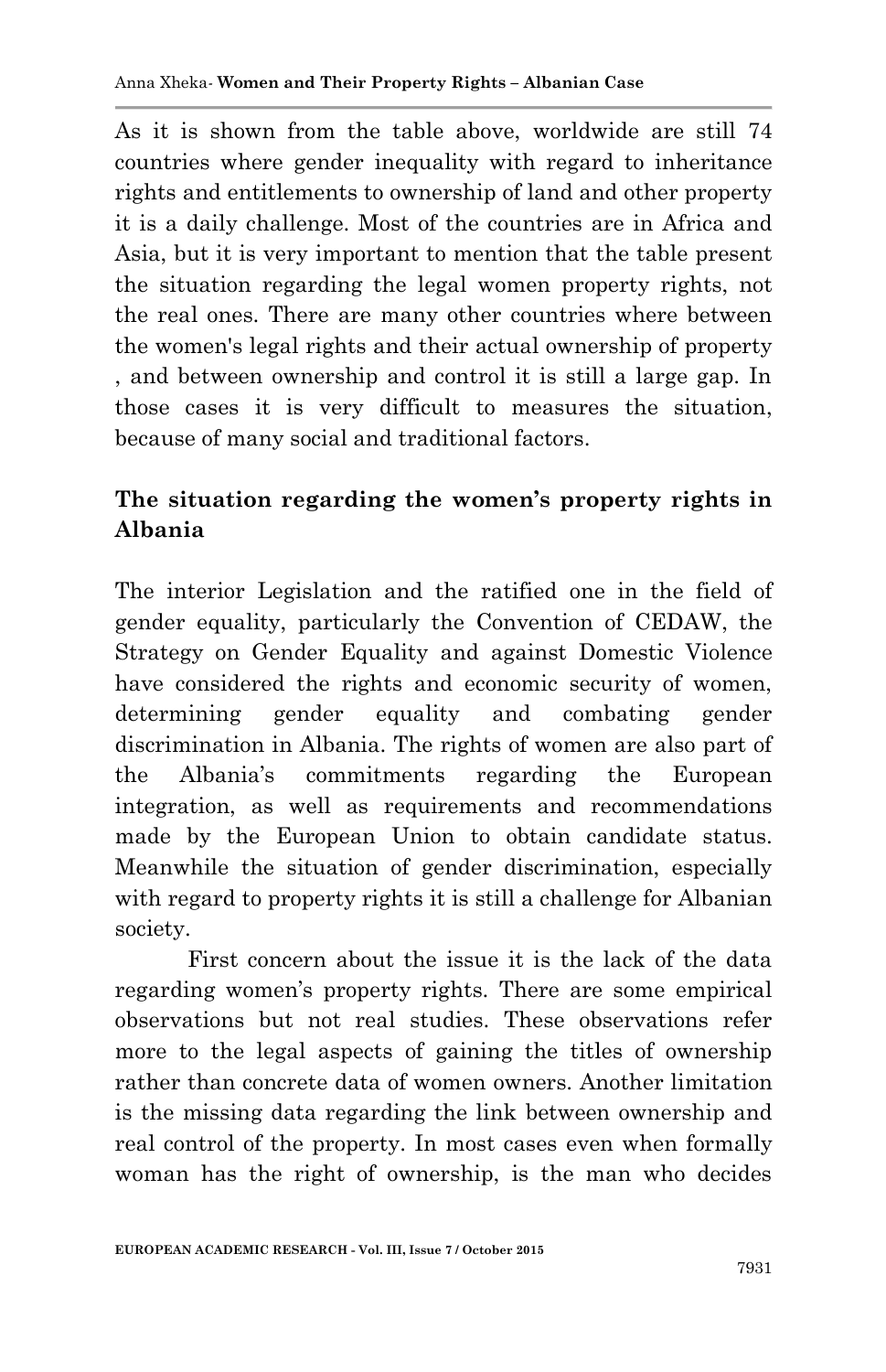As it is shown from the table above, worldwide are still 74 countries where gender inequality with regard to inheritance rights and entitlements to ownership of land and other property it is a daily challenge. Most of the countries are in Africa and Asia, but it is very important to mention that the table present the situation regarding the legal women property rights, not the real ones. There are many other countries where between the women's legal rights and their actual ownership of property , and between ownership and control it is still a large gap. In those cases it is very difficult to measures the situation, because of many social and traditional factors.

# **The situation regarding the women's property rights in Albania**

The interior Legislation and the ratified one in the field of gender equality, particularly the Convention of CEDAW, the Strategy on Gender Equality and against Domestic Violence have considered the rights and economic security of women, determining gender equality and combating gender discrimination in Albania. The rights of women are also part of the Albania's commitments regarding the European integration, as well as requirements and recommendations made by the European Union to obtain candidate status. Meanwhile the situation of gender discrimination, especially with regard to property rights it is still a challenge for Albanian society.

First concern about the issue it is the lack of the data regarding women's property rights. There are some empirical observations but not real studies. These observations refer more to the legal aspects of gaining the titles of ownership rather than concrete data of women owners. Another limitation is the missing data regarding the link between ownership and real control of the property. In most cases even when formally woman has the right of ownership, is the man who decides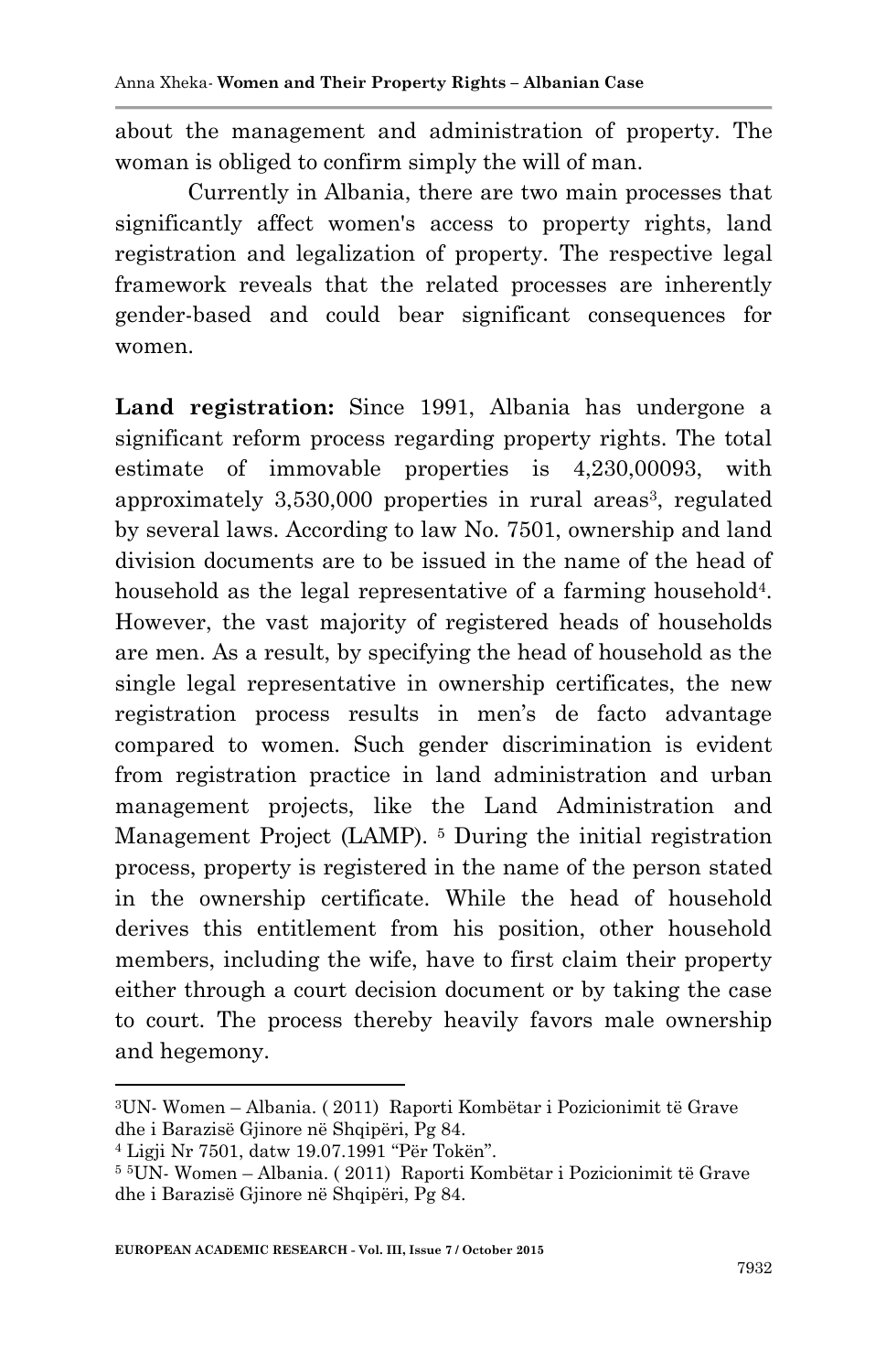about the management and administration of property. The woman is obliged to confirm simply the will of man.

Currently in Albania, there are two main processes that significantly affect women's access to property rights, land registration and legalization of property. The respective legal framework reveals that the related processes are inherently gender-based and could bear significant consequences for women.

**Land registration:** Since 1991, Albania has undergone a significant reform process regarding property rights. The total estimate of immovable properties is 4,230,00093, with approximately 3,530,000 properties in rural areas<sup>3</sup>, regulated by several laws. According to law No. 7501, ownership and land division documents are to be issued in the name of the head of household as the legal representative of a farming household<sup>4</sup>. However, the vast majority of registered heads of households are men. As a result, by specifying the head of household as the single legal representative in ownership certificates, the new registration process results in men's de facto advantage compared to women. Such gender discrimination is evident from registration practice in land administration and urban management projects, like the Land Administration and Management Project (LAMP). <sup>5</sup> During the initial registration process, property is registered in the name of the person stated in the ownership certificate. While the head of household derives this entitlement from his position, other household members, including the wife, have to first claim their property either through a court decision document or by taking the case to court. The process thereby heavily favors male ownership and hegemony.

1

<sup>3</sup>UN- Women – Albania. ( 2011) Raporti Kombëtar i Pozicionimit të Grave dhe i Barazisë Gjinore në Shqipëri, Pg 84.

<sup>4</sup> Ligji Nr 7501, datw 19.07.1991 "Për Tokën".

<sup>5</sup> <sup>5</sup>UN- Women – Albania. ( 2011) Raporti Kombëtar i Pozicionimit të Grave dhe i Barazisë Gjinore në Shqipëri, Pg 84.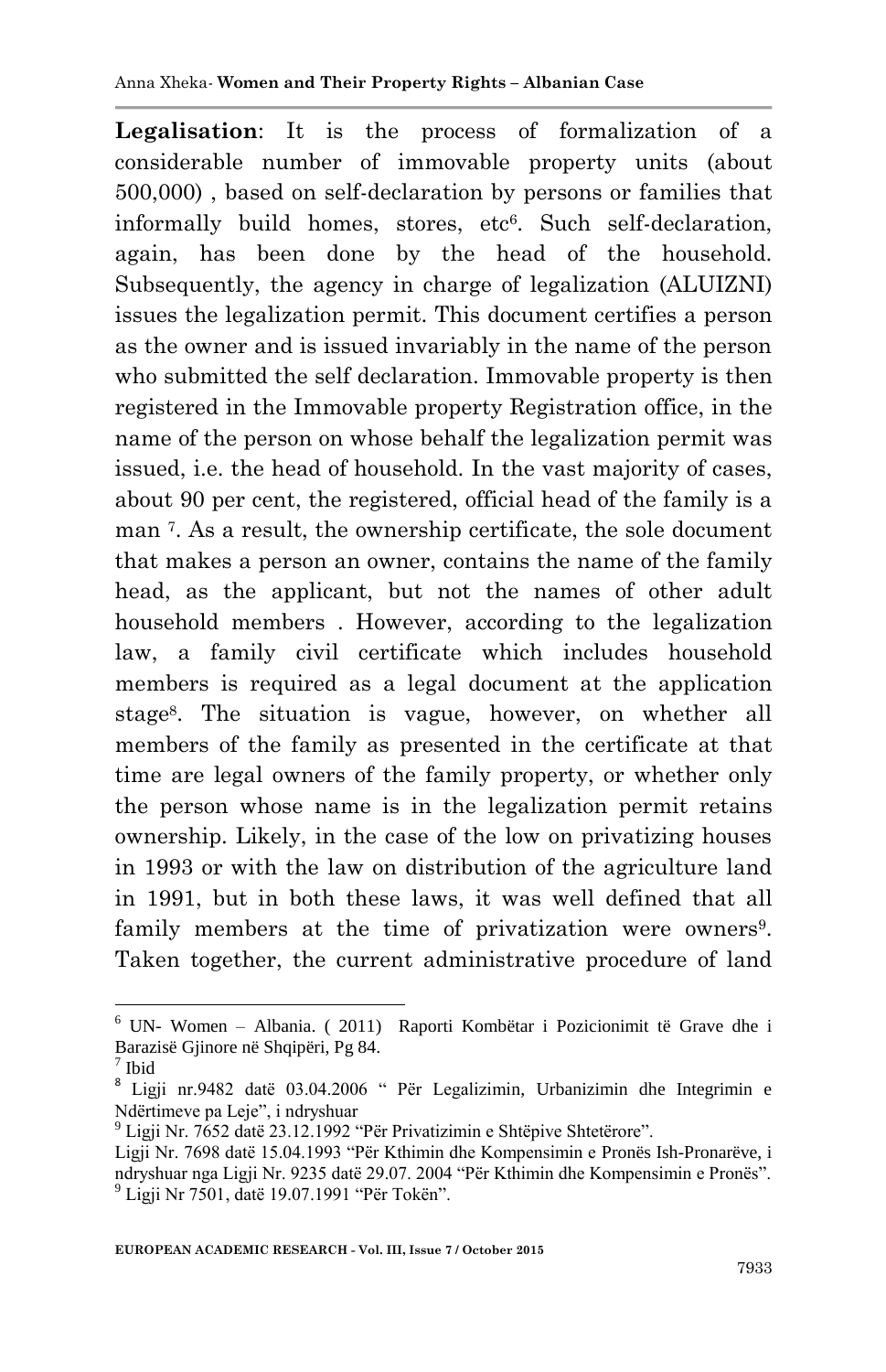**Legalisation**: It is the process of formalization of a considerable number of immovable property units (about 500,000) , based on self-declaration by persons or families that informally build homes, stores, etc<sup>6</sup>. Such self-declaration, again, has been done by the head of the household. Subsequently, the agency in charge of legalization (ALUIZNI) issues the legalization permit. This document certifies a person as the owner and is issued invariably in the name of the person who submitted the self declaration. Immovable property is then registered in the Immovable property Registration office, in the name of the person on whose behalf the legalization permit was issued, i.e. the head of household. In the vast majority of cases, about 90 per cent, the registered, official head of the family is a man <sup>7</sup> . As a result, the ownership certificate, the sole document that makes a person an owner, contains the name of the family head, as the applicant, but not the names of other adult household members . However, according to the legalization law, a family civil certificate which includes household members is required as a legal document at the application stage<sup>8</sup> . The situation is vague, however, on whether all members of the family as presented in the certificate at that time are legal owners of the family property, or whether only the person whose name is in the legalization permit retains ownership. Likely, in the case of the low on privatizing houses in 1993 or with the law on distribution of the agriculture land in 1991, but in both these laws, it was well defined that all family members at the time of privatization were owners<sup>9</sup>. Taken together, the current administrative procedure of land

1

 $6$  UN- Women – Albania. ( 2011) Raporti Kombëtar i Pozicionimit të Grave dhe i Barazisë Gjinore në Shqipëri, Pg 84.

<sup>7</sup> Ibid

<sup>8</sup> Ligji nr.9482 datë 03.04.2006 " Për Legalizimin, Urbanizimin dhe Integrimin e Ndërtimeve pa Leje", i ndryshuar

<sup>&</sup>lt;sup>9</sup> Ligji Nr. 7652 datë 23.12.1992 "Për Privatizimin e Shtëpive Shtetërore".

Ligji Nr. 7698 datë 15.04.1993 "Për Kthimin dhe Kompensimin e Pronës Ish-Pronarëve, i ndryshuar nga Ligji Nr. 9235 datë 29.07. 2004 "Për Kthimin dhe Kompensimin e Pronës".  $9$  Ligji Nr 7501, datë 19.07.1991 "Për Tokën".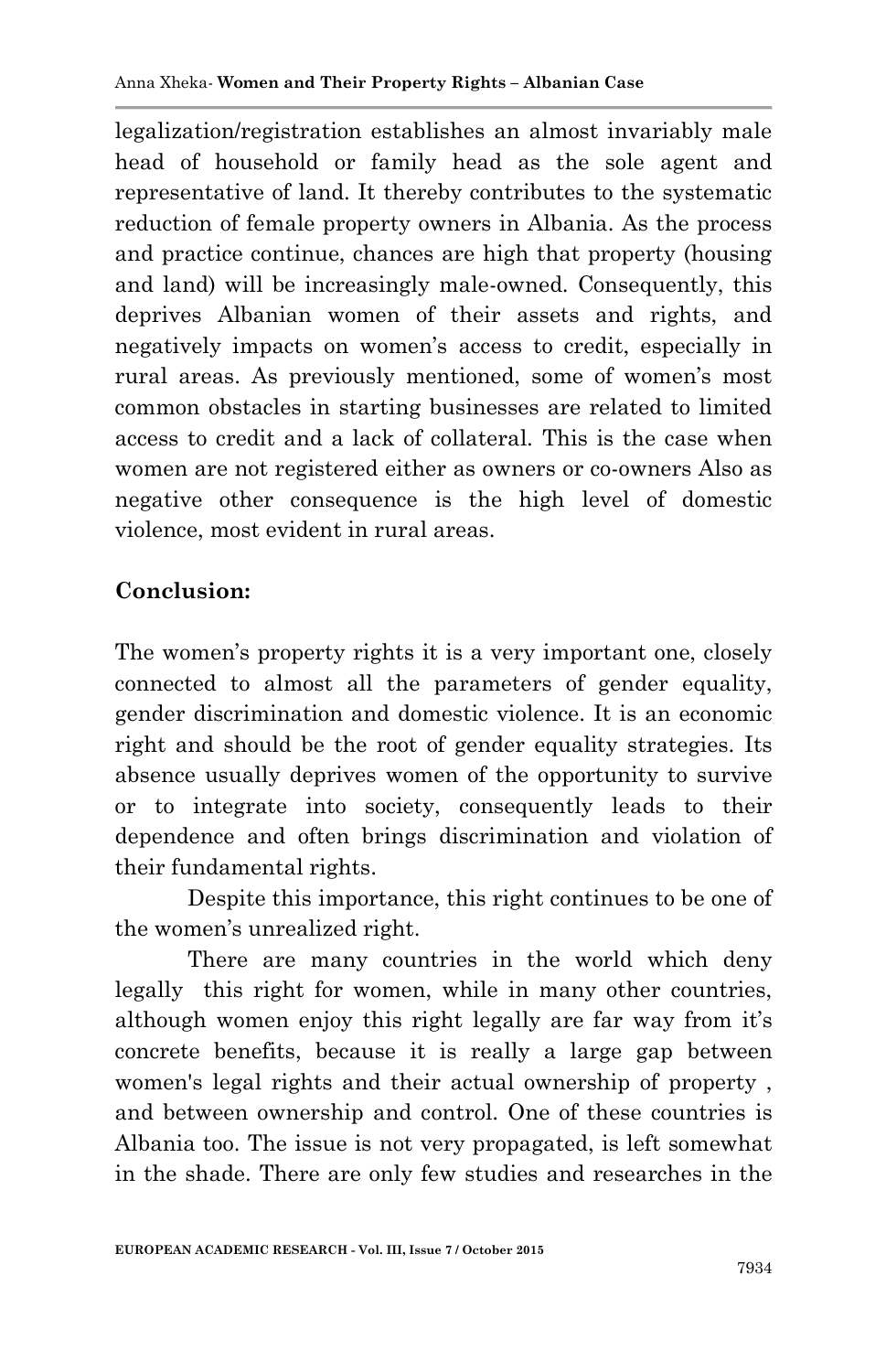legalization/registration establishes an almost invariably male head of household or family head as the sole agent and representative of land. It thereby contributes to the systematic reduction of female property owners in Albania. As the process and practice continue, chances are high that property (housing and land) will be increasingly male-owned. Consequently, this deprives Albanian women of their assets and rights, and negatively impacts on women's access to credit, especially in rural areas. As previously mentioned, some of women's most common obstacles in starting businesses are related to limited access to credit and a lack of collateral. This is the case when women are not registered either as owners or co-owners Also as negative other consequence is the high level of domestic violence, most evident in rural areas.

## **Conclusion:**

The women's property rights it is a very important one, closely connected to almost all the parameters of gender equality, gender discrimination and domestic violence. It is an economic right and should be the root of gender equality strategies. Its absence usually deprives women of the opportunity to survive or to integrate into society, consequently leads to their dependence and often brings discrimination and violation of their fundamental rights.

Despite this importance, this right continues to be one of the women's unrealized right.

There are many countries in the world which deny legally this right for women, while in many other countries, although women enjoy this right legally are far way from it's concrete benefits, because it is really a large gap between women's legal rights and their actual ownership of property , and between ownership and control. One of these countries is Albania too. The issue is not very propagated, is left somewhat in the shade. There are only few studies and researches in the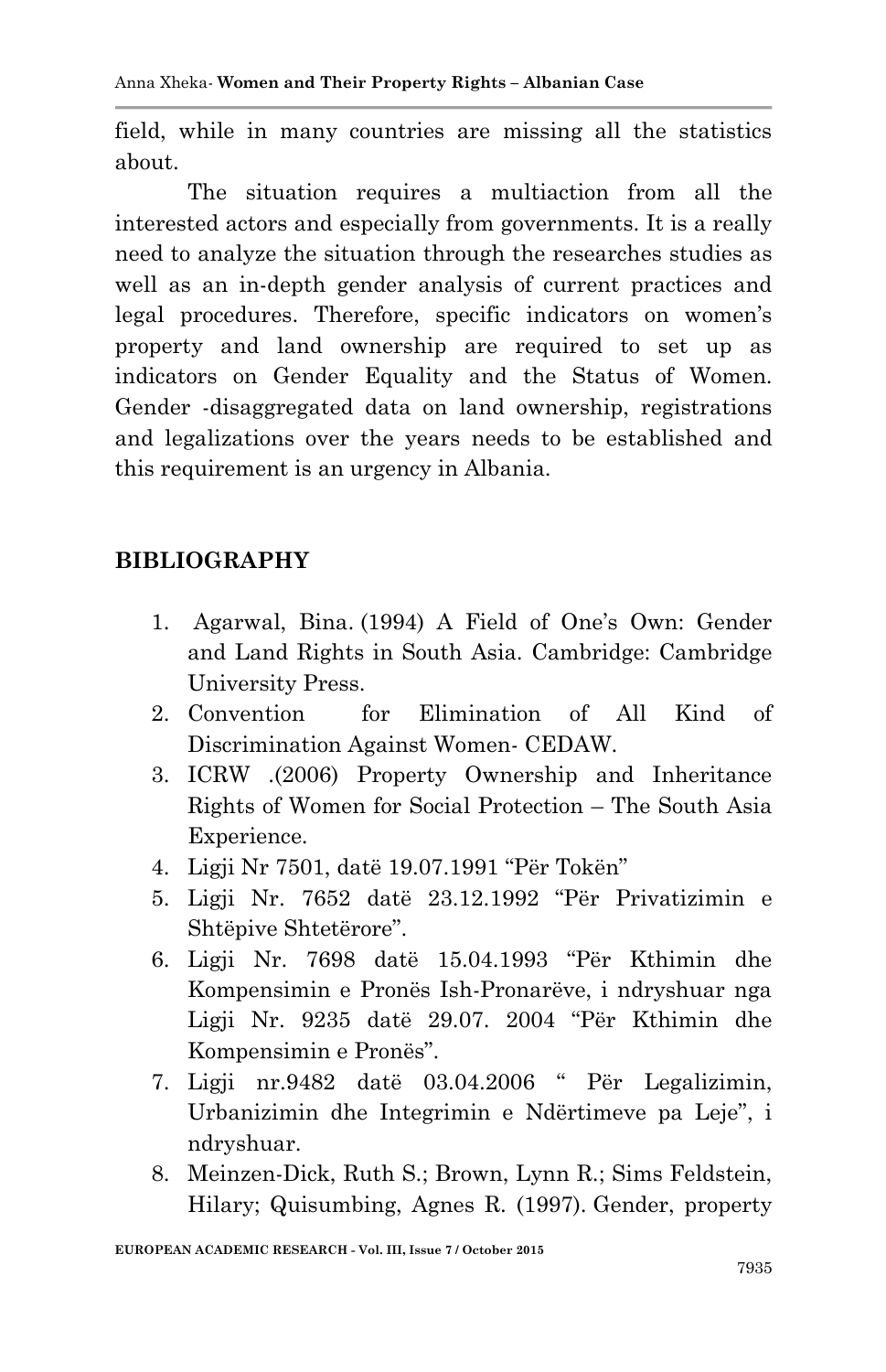field, while in many countries are missing all the statistics about.

The situation requires a multiaction from all the interested actors and especially from governments. It is a really need to analyze the situation through the researches studies as well as an in-depth gender analysis of current practices and legal procedures. Therefore, specific indicators on women's property and land ownership are required to set up as indicators on Gender Equality and the Status of Women. Gender -disaggregated data on land ownership, registrations and legalizations over the years needs to be established and this requirement is an urgency in Albania.

### **BIBLIOGRAPHY**

- 1. Agarwal, Bina. (1994) A Field of One's Own: Gender and Land Rights in South Asia. Cambridge: Cambridge University Press.
- 2. Convention for Elimination of All Kind of Discrimination Against Women- CEDAW.
- 3. ICRW .(2006) Property Ownership and Inheritance Rights of Women for Social Protection – The South Asia Experience.
- 4. Ligji Nr 7501, datë 19.07.1991 "Për Tokën"
- 5. Ligji Nr. 7652 datë 23.12.1992 "Për Privatizimin e Shtëpive Shtetërore".
- 6. Ligji Nr. 7698 datë 15.04.1993 "Për Kthimin dhe Kompensimin e Pronës Ish-Pronarëve, i ndryshuar nga Ligji Nr. 9235 datë 29.07. 2004 "Për Kthimin dhe Kompensimin e Pronës".
- 7. Ligji nr.9482 datë 03.04.2006 " Për Legalizimin, Urbanizimin dhe Integrimin e Ndërtimeve pa Leje", i ndryshuar.
- 8. Meinzen-Dick, Ruth S.; Brown, Lynn R.; Sims Feldstein, Hilary; Quisumbing, Agnes R. (1997). Gender, property